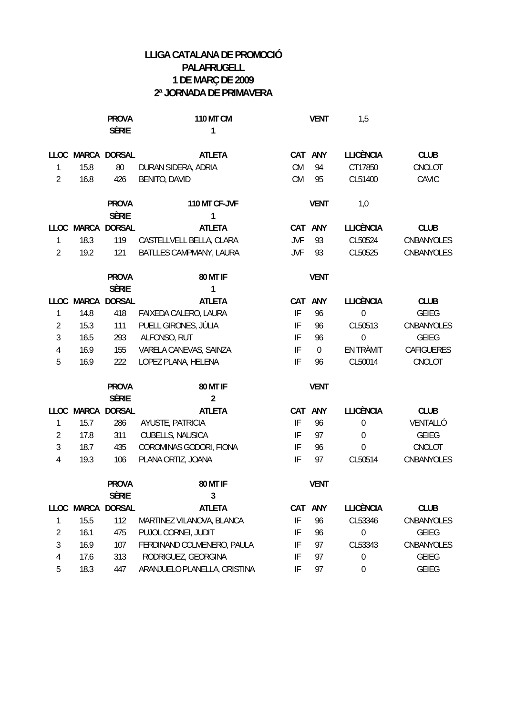|                |            | <b>PROVA</b>      | <b>110 MT CM</b>             |                            | <b>VENT</b>      | 1,5              |              |
|----------------|------------|-------------------|------------------------------|----------------------------|------------------|------------------|--------------|
|                |            | <b>SÈRIE</b>      | 1                            |                            |                  |                  |              |
|                |            | LLOC MARCA DORSAL | <b>ATLETA</b>                |                            | CAT ANY          | <b>LLICÈNCIA</b> | <b>CLUB</b>  |
| 1              | 15.8       | 80                | DURAN SIDERA, ADRIA          | CM                         | 94               | CT17850          | CNOLOT       |
| $\overline{2}$ | 16.8       | 426               | <b>BENITO, DAVID</b>         | CM                         | 95               | CL51400          | CAVIC        |
|                |            |                   |                              |                            |                  |                  |              |
|                |            | <b>PROVA</b>      | 110 MT CF-JVF                |                            | <b>VENT</b>      | 1,0              |              |
|                |            | <b>SÈRIE</b>      | 1                            |                            |                  |                  |              |
|                |            | LLOC MARCA DORSAL | <b>ATLETA</b>                |                            | CAT ANY          | <b>LLICÈNCIA</b> | <b>CLUB</b>  |
| $\mathbf{1}$   | 18.3       | 119               | CASTELLVELL BELLA, CLARA     | <b>JVF</b>                 | 93               | CL50524          | CNBANYOLES   |
| $\overline{2}$ | 19.2       | 121               | BATLLES CAMPMANY, LAURA      | <b>JVF</b>                 | 93               | CL50525          | CNBANYOLES   |
|                |            | <b>PROVA</b>      | <b>80 MT IF</b>              |                            | <b>VENT</b>      |                  |              |
|                |            | <b>SÈRIE</b>      | 1                            |                            |                  |                  |              |
|                | LLOC MARCA | <b>DORSAL</b>     | <b>ATLETA</b>                | CAT                        | ANY              | <b>LLICÈNCIA</b> | <b>CLUB</b>  |
| 1              | 14.8       | 418               | FAIXEDA CALERO, LAURA        | $\ensuremath{\mathsf{IF}}$ | 96               | $\boldsymbol{0}$ | <b>GEIEG</b> |
| $\overline{2}$ | 15.3       | 111               | PUELL GIRONES, JÚLIA         | IF                         | 96               | CL50513          | CNBANYOLES   |
| 3              | 16.5       | 293               | ALFONSO, RUT                 | IF                         | 96               | $\boldsymbol{0}$ | <b>GEIEG</b> |
| 4              | 16.9       | 155               | VARELA CANEVAS, SAINZA       | IF                         | $\boldsymbol{0}$ | EN TRÀMIT        | CAFIGUERES   |
| 5              | 16.9       | 222               | LOPEZ PLANA, HELENA          | $\ensuremath{\mathsf{IF}}$ | 96               | CL50014          | CNOLOT       |
|                |            | <b>PROVA</b>      | <b>80 MT IF</b>              |                            | <b>VENT</b>      |                  |              |
|                |            | <b>SÈRIE</b>      | $\overline{2}$               |                            |                  |                  |              |
|                |            | LLOC MARCA DORSAL | <b>ATLETA</b>                |                            | CAT ANY          | <b>LLICÈNCIA</b> | <b>CLUB</b>  |
| 1              | 15.7       | 286               | AYUSTE, PATRICIA             | $\ensuremath{\mathsf{IF}}$ | 96               | $\boldsymbol{0}$ | VENTALLÓ     |
| $\overline{2}$ | 17.8       | 311               | CUBELLS, NAUSICA             | IF                         | 97               | $\boldsymbol{0}$ | GEIEG        |
| 3              | 18.7       | 435               | COROMINAS GODORI, FIONA      | IF                         | 96               | $\boldsymbol{0}$ | CNOLOT       |
| 4              | 19.3       | 106               | PLANA ORTIZ, JOANA           | IF                         | 97               | CL50514          | CNBANYOLES   |
|                |            | <b>PROVA</b>      | 80 MT IF                     |                            | <b>VENT</b>      |                  |              |
|                |            | <b>SÈRIE</b>      | $\mathbf{3}$                 |                            |                  |                  |              |
|                | LLOC MARCA | <b>DORSAL</b>     | <b>ATLETA</b>                |                            | CAT ANY          | <b>LLICÈNCIA</b> | <b>CLUB</b>  |
| 1              | 15.5       | 112               | MARTINEZ VILANOVA, BLANCA    | $\ensuremath{\mathsf{IF}}$ | 96               | CL53346          | CNBANYOLES   |
| 2              | 16.1       | 475               | PUJOL CORNEI, JUDIT          | IF                         | 96               | $\boldsymbol{0}$ | <b>GEIEG</b> |
| 3              | 16.9       | 107               | FERDINAND COLMENERO, PAULA   | IF                         | 97               | CL53343          | CNBANYOLES   |
| 4              | 17.6       | 313               | RODRIGUEZ, GEORGINA          | IF                         | 97               | $\boldsymbol{0}$ | GEIEG        |
| 5              | 18.3       | 447               | ARANJUELO PLANELLA, CRISTINA | $\ensuremath{\mathsf{IF}}$ | 97               | $\boldsymbol{0}$ | <b>GEIEG</b> |
|                |            |                   |                              |                            |                  |                  |              |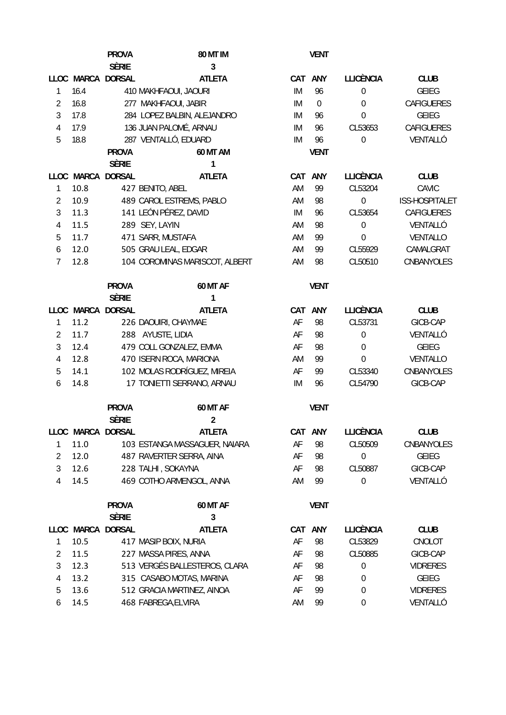|                |      | <b>PROVA</b>                 | <b>80 MT IM</b>                |    | <b>VENT</b>      |                  |                   |
|----------------|------|------------------------------|--------------------------------|----|------------------|------------------|-------------------|
|                |      | <b>SÈRIE</b>                 | $\overline{3}$                 |    |                  |                  |                   |
|                |      | LLOC MARCA DORSAL            | <b>ATLETA</b>                  |    | CAT ANY          | <b>LLICÈNCIA</b> | <b>CLUB</b>       |
| 1              | 16.4 |                              | 410 MAKHFAOUI, JAOURI          | IM | 96               | $\boldsymbol{0}$ | <b>GEIEG</b>      |
| $\overline{2}$ | 16.8 |                              | 277 MAKHFAOUI, JABIR           | IM | $\boldsymbol{0}$ | $\mathbf 0$      | <b>CAFIGUERES</b> |
| 3              | 17.8 |                              | 284 LOPEZ BALBIN, ALEJANDRO    | IM | 96               | $\mathbf 0$      | <b>GEIEG</b>      |
| 4              | 17.9 |                              | 136 JUAN PALOMÉ, ARNAU         | IM | 96               | CL53653          | <b>CAFIGUERES</b> |
| 5              | 18.8 |                              | 287 VENTALLÓ, EDUARD           | IM | 96               | 0                | VENTALLÓ          |
|                |      | <b>PROVA</b>                 | <b>60 MT AM</b>                |    | <b>VENT</b>      |                  |                   |
|                |      | <b>SÈRIE</b>                 | 1                              |    |                  |                  |                   |
|                |      | LLOC MARCA DORSAL            | <b>ATLETA</b>                  |    | CAT ANY          | <b>LLICÈNCIA</b> | <b>CLUB</b>       |
| 1              | 10.8 |                              | 427 BENITO, ABEL               | AM | 99               | CL53204          | CAVIC             |
| 2              | 10.9 |                              | 489 CAROL ESTREMS, PABLO       | AM | 98               | $\boldsymbol{0}$ | ISS-HOSPITALET    |
| 3              | 11.3 |                              | 141 LEÓN PÉREZ, DAVID          | IM | 96               | CL53654          | CAFIGUERES        |
| 4              | 11.5 |                              | 289 SEY, LAYIN                 | AM | 98               | $\mathbf 0$      | VENTALLÓ          |
| 5              | 11.7 |                              | 471 SARR, MUSTAFA              | AM | 99               | 0                | VENTALLO          |
| 6              | 12.0 |                              | 505 GRAU LEAL, EDGAR           | AM | 99               | CL55929          | CAMALGRAT         |
| 7              | 12.8 |                              | 104 COROMINAS MARISCOT, ALBERT | AM | 98               | CL50510          | CNBANYOLES        |
|                |      |                              |                                |    |                  |                  |                   |
|                |      | <b>PROVA</b>                 | 60 MT AF                       |    | <b>VENT</b>      |                  |                   |
|                |      | <b>SÈRIE</b>                 | 1                              |    |                  |                  |                   |
|                |      | LLOC MARCA DORSAL            | <b>ATLETA</b>                  |    | CAT ANY          | <b>LLICÈNCIA</b> | <b>CLUB</b>       |
| 1              | 11.2 |                              | 226 DAOUIRI, CHAYMAE           | AF | 98               | CL53731          | GICB-CAP          |
| 2              | 11.7 |                              | 288 AYUSTE, LIDIA              | AF | 98               | $\boldsymbol{0}$ | VENTALLÓ          |
| 3              | 12.4 |                              | 479 COLL GONZALEZ, EMMA        | AF | 98               | $\boldsymbol{0}$ | <b>GEIEG</b>      |
| 4              | 12.8 |                              | 470 ISERN ROCA, MARIONA        | AM | 99               | $\mathbf 0$      | VENTALLO          |
| 5              | 14.1 |                              | 102 MOLAS RODRÍGUEZ, MIREIA    | AF | 99               | CL53340          | CNBANYOLES        |
| 6              | 14.8 |                              | 17 TONIETTI SERRANO, ARNAU     | IM | 96               | CL54790          | GICB-CAP          |
|                |      | <b>PROVA</b><br><b>SÈRIE</b> | 60 MT AF<br>$\overline{2}$     |    | <b>VENT</b>      |                  |                   |
|                |      | LLOC MARCA DORSAL            | <b>ATLETA</b>                  |    | CAT ANY          | <b>LLICÈNCIA</b> | <b>CLUB</b>       |
| 1              | 11.0 |                              | 103 ESTANGA MASSAGUER, NAIARA  | AF | 98               | CL50509          | CNBANYOLES        |
| 2              | 12.0 |                              | 487 RAVERTER SERRA, AINA       | AF | 98               | 0                | GEIEG             |
| 3              | 12.6 |                              | 228 TALHI, SOKAYNA             | AF | 98               | CL50887          | GICB-CAP          |
| 4              | 14.5 |                              | 469 COTHO ARMENGOL, ANNA       | AM | 99               | $\boldsymbol{0}$ | VENTALLÓ          |
|                |      | <b>PROVA</b>                 | 60 MT AF                       |    | <b>VENT</b>      |                  |                   |
|                |      | <b>SÈRIE</b>                 | 3                              |    |                  |                  |                   |
|                |      | LLOC MARCA DORSAL            | <b>ATLETA</b>                  |    | CAT ANY          | <b>LLICÈNCIA</b> | <b>CLUB</b>       |
| 1              | 10.5 |                              | 417 MASIP BOIX, NURIA          | AF | 98               | CL53829          | CNOLOT            |
| 2              | 11.5 |                              | 227 MASSA PIRES, ANNA          | AF | 98               | CL50885          | GICB-CAP          |
| 3              | 12.3 |                              | 513 VERGÉS BALLESTEROS, CLARA  | AF | 98               | $\boldsymbol{0}$ | <b>VIDRERES</b>   |
| 4              | 13.2 |                              | 315 CASABO MOTAS, MARINA       | AF | 98               | 0                | GEIEG             |
| 5              | 13.6 |                              | 512 GRACIA MARTINEZ, AINOA     | AF | 99               | 0                | <b>VIDRERES</b>   |
| 6              | 14.5 |                              | 468 FABREGA, ELVIRA            | AM | 99               | $\boldsymbol{0}$ | VENTALLÓ          |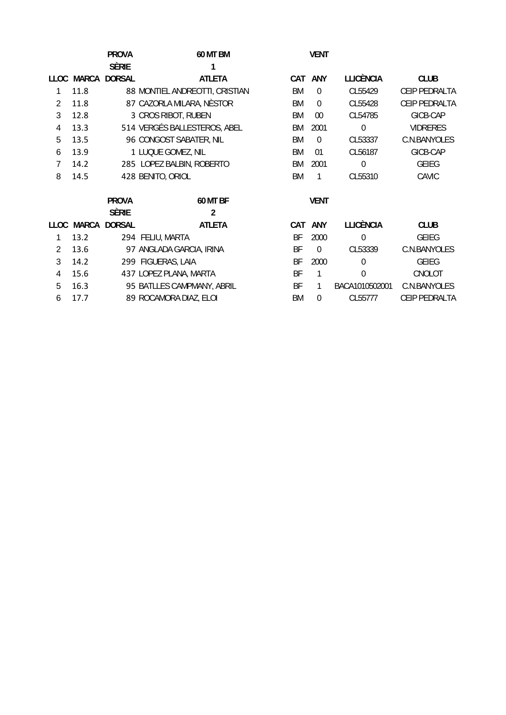|                |              | <b>PROVA</b>  | <b>60 MT BM</b>                |            |          |                  |                 |
|----------------|--------------|---------------|--------------------------------|------------|----------|------------------|-----------------|
|                |              | <b>SÈRIE</b>  |                                |            |          |                  |                 |
| <b>LLOC</b>    | <b>MARCA</b> | <b>DORSAL</b> | <b>ATLETA</b>                  | <b>CAT</b> | ANY      | <b>LLICÈNCIA</b> | <b>CLUB</b>     |
|                | 11.8         |               | 88 MONTIEL ANDREOTTI, CRISTIAN | BM         | $\theta$ | CL55429          | CEIP PEDRALTA   |
| $\overline{2}$ | 11.8         |               | 87 CAZORLA MILARA, NÈSTOR      | BM         | $\theta$ | CL55428          | CEIP PEDRALTA   |
| 3              | 12.8         |               | 3 CROS RIBOT, RUBEN            | BM         | $00\,$   | CL54785          | GICB-CAP        |
| 4              | 13.3         |               | 514 VERGÉS BALLESTEROS, ABEL   | BM         | 2001     | $\overline{0}$   | <b>VIDRERES</b> |
| 5              | 13.5         |               | 96 CONGOST SABATER, NIL        | BM         | $\Omega$ | CL53337          | C.N.BANYOLES    |
| 6              | 13.9         |               | 1 LUQUE GOMEZ, NIL             | BM         | 01       | CL56187          | GICB-CAP        |
| 7              | 14.2         |               | 285 LOPEZ BALBIN, ROBERTO      | BM         | 2001     | $\mathbf 0$      | <b>GEIEG</b>    |
| 8              | 14.5         |               | 428 BENITO, ORIOL              | BM         | 1        | CL55310          | CAVIC           |
|                |              |               |                                |            |          |                  |                 |
|                |              | <b>PROVA</b>  | <b>60 MT BF</b>                |            | VENT     |                  |                 |
|                |              | <b>SÈRIE</b>  | 2                              |            |          |                  |                 |
|                | LLOC MARCA   | <b>DORSAL</b> | <b>ATLETA</b>                  | CAT        | ANY      | <b>LLICÈNCIA</b> | <b>CLUB</b>     |
| 1              | 13.2         |               | 294 FELIU, MARTA               | BF         | 2000     | $\theta$         | <b>GEIEG</b>    |
| $\overline{2}$ | 13.6         |               | 97 ANGLADA GARCIA, IRINA       | BF         | $\theta$ | CL53339          | C.N.BANYOLES    |
| 3              | 14.2         |               | 299 FIGUERAS, LAIA             | BF         | 2000     | $\theta$         | <b>GEIEG</b>    |
| $\overline{4}$ | 15.6         |               | 437 LOPEZ PLANA, MARTA         | BF         | 1        | $\theta$         | CNOLOT          |
| 5              | 16.3         |               | 95 BATLLES CAMPMANY, ABRIL     | BF         | 1        | BACA1010502001   | C.N.BANYOLES    |
| 6              | 17.7         |               | 89 ROCAMORA DIAZ, ELOI         | <b>BM</b>  | $\theta$ | CL55777          | CEIP PEDRALTA   |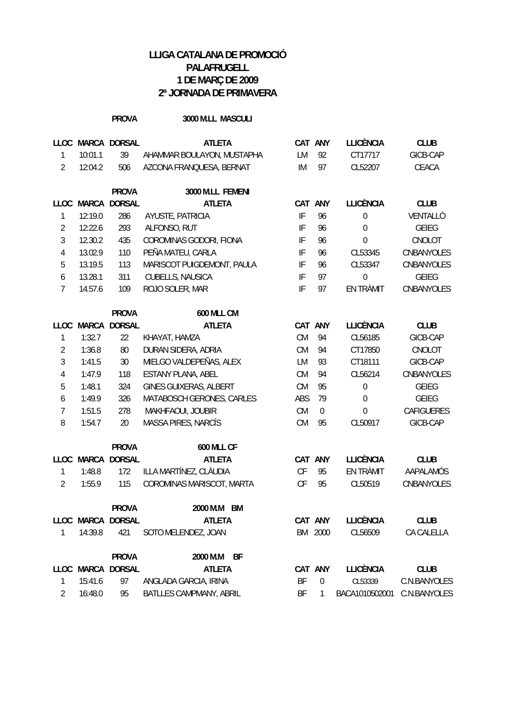## **PROVA 3000 M.LL MASCULI**

| <b>LLOC</b>      |              | MARCA DORSAL      | <b>ATLETA</b>                  |                            | CAT ANY          | <b>LLICÈNCIA</b> | <b>CLUB</b>       |
|------------------|--------------|-------------------|--------------------------------|----------------------------|------------------|------------------|-------------------|
| 1                | 10:01.1      | 39                | AHAMMAR BOULAYON, MUSTAPHA     | LM                         | 92               | CT17717          | GICB-CAP          |
| $\overline{2}$   | 12:04.2      | 506               | AZCONA FRANQUESA, BERNAT       | IM                         | 97               | CL52207          | CEACA             |
|                  |              | <b>PROVA</b>      | 3000 M.LL FEMENI               |                            |                  |                  |                   |
| <b>LLOC</b>      | MARCA        | <b>DORSAL</b>     | <b>ATLETA</b>                  |                            | CAT ANY          | <b>LLICÈNCIA</b> | <b>CLUB</b>       |
| 1                | 12:19.0      | 286               | AYUSTE, PATRICIA               | IF                         | 96               | $\boldsymbol{0}$ | VENTALLÓ          |
| $\overline{2}$   | 12:22.6      | 293               | ALFONSO, RUT                   | IF                         | 96               | $\boldsymbol{0}$ | <b>GEIEG</b>      |
| 3                | 12.30.2      | 435               | COROMINAS GODORI, FIONA        | $\ensuremath{\mathsf{IF}}$ | 96               | $\mathbf 0$      | CNOLOT            |
| $\overline{4}$   | 13.02.9      | 110               | PEÑA MATEU, CARLA              | IF                         | 96               | CL53345          | CNBANYOLES        |
| 5                | 13.19.5      | 113               | MARISCOT PUIGDEMONT, PAULA     | IF                         | 96               | CL53347          | CNBANYOLES        |
| $\boldsymbol{6}$ | 13.28.1      | 311               | CUBELLS, NAUSICA               | IF                         | 97               | $\mathbf 0$      | <b>GEIEG</b>      |
| $\overline{7}$   | 14.57.6      | 109               | ROJO SOLER, MAR                | IF                         | 97               | EN TRÀMIT        | CNBANYOLES        |
|                  |              | <b>PROVA</b>      | <b>600 MLL CM</b>              |                            |                  |                  |                   |
| <b>LLOC</b>      | <b>MARCA</b> | <b>DORSAL</b>     | <b>ATLETA</b>                  |                            | CAT ANY          | <b>LLICÈNCIA</b> | <b>CLUB</b>       |
| 1                | 1:32.7       | 22                | KHAYAT, HAMZA                  | <b>CM</b>                  | 94               | CL56185          | GICB-CAP          |
| $\overline{2}$   | 1:36.8       | 80                | DURAN SIDERA, ADRIA            | <b>CM</b>                  | 94               | CT17850          | CNOLOT            |
| 3                | 1:41.5       | 30                | MIELGO VALDEPEÑAS, ALEX        | LM                         | 93               | CT18111          | GICB-CAP          |
| $\overline{4}$   | 1:47.9       | 118               | <b>ESTANY PLANA, ABEL</b>      | <b>CM</b>                  | 94               | CL56214          | CNBANYOLES        |
| 5                | 1:48.1       | 324               | GINES GUIXERAS, ALBERT         | <b>CM</b>                  | 95               | $\boldsymbol{0}$ | <b>GEIEG</b>      |
| 6                | 1:49.9       | 326               | MATABOSCH GERONES, CARLES      | ABS                        | 79               | $\mathbf 0$      | <b>GEIEG</b>      |
| $\overline{7}$   | 1:51.5       | 278               | MAKHFAOUI, JOUBIR              | <b>CM</b>                  | $\boldsymbol{0}$ | $\mathbf 0$      | <b>CAFIGUERES</b> |
| 8                | 1:54.7       | 20                | MASSA PIRES, NARCÍS            | <b>CM</b>                  | 95               | CL50917          | GICB-CAP          |
|                  |              | <b>PROVA</b>      | <b>600 MLL CF</b>              |                            |                  |                  |                   |
| <b>LLOC</b>      | <b>MARCA</b> | <b>DORSAL</b>     | <b>ATLETA</b>                  |                            | CAT ANY          | <b>LLICÈNCIA</b> | <b>CLUB</b>       |
| 1                | 1:48.8       | 172               | ILLA MARTÍNEZ, CLÀUDIA         | CF                         | 95               | EN TRÀMIT        | AAPALAMÓS         |
| $\overline{2}$   | 1:55.9       | 115               | COROMINAS MARISCOT, MARTA      | CF                         | 95               | CL50519          | CNBANYOLES        |
|                  |              | <b>PROVA</b>      | 2000 M.M<br>BM                 |                            |                  |                  |                   |
|                  |              | LLOC MARCA DORSAL | <b>ATLETA</b>                  |                            | CAT ANY          | <b>LLICÈNCIA</b> | <b>CLUB</b>       |
| 1                | 14:39.8      | 421               | SOTO MELENDEZ, JOAN            |                            | BM 2000          | CL56509          | CA CALELLA        |
|                  |              | <b>PROVA</b>      | 2000 M.M<br>BF                 |                            |                  |                  |                   |
|                  | LLOC MARCA   | <b>DORSAL</b>     | <b>ATLETA</b>                  |                            | CAT ANY          | <b>LLICÈNCIA</b> | <b>CLUB</b>       |
| 1                | 15:41.6      | 97                | ANGLADA GARCIA, IRINA          | ΒF                         | $\boldsymbol{0}$ | CL53339          | C.N.BANYOLES      |
| $\overline{2}$   | 16:48.0      | 95                | <b>BATLLES CAMPMANY, ABRIL</b> | ΒF                         | 1                | BACA1010502001   | C.N.BANYOLES      |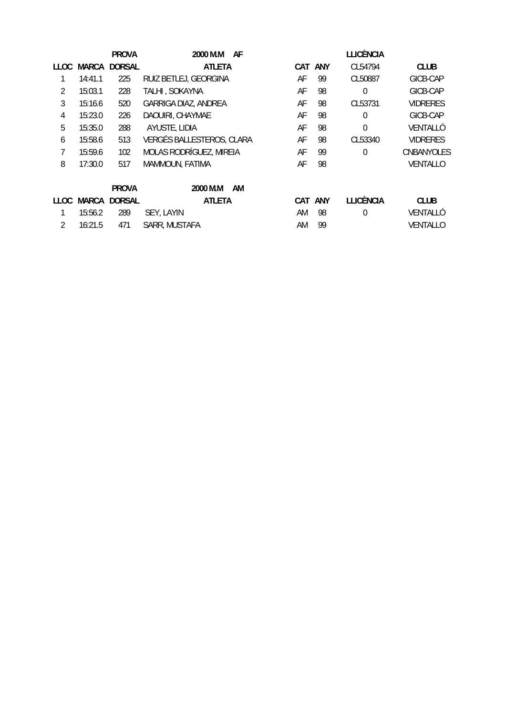|      |         | <b>PROVA</b>  | 2000 M.M<br>AF            |     |         | <b>LLICÈNCIA</b> |                 |
|------|---------|---------------|---------------------------|-----|---------|------------------|-----------------|
| LLOC | MARCA   | <b>DORSAL</b> | <b>ATLETA</b>             |     | CAT ANY | CL54794          | <b>CLUB</b>     |
|      | 14:41.1 | 225           | RUIZ BETLEJ, GEORGINA     | AF  | 99      | CL50887          | GICB-CAP        |
| 2    | 15:03.1 | 228           | TALHI, SOKAYNA            | AF  | 98      | $\theta$         | GICB-CAP        |
| 3    | 15:16.6 | 520           | GARRIGA DIAZ, ANDREA      | AF  | 98      | CL53731          | <b>VIDRERES</b> |
| 4    | 15:23.0 | 226           | DAOUIRI, CHAYMAE          | AF  | 98      | $\theta$         | GICB-CAP        |
| 5    | 15:35.0 | 288           | AYUSTE, LIDIA             | AF  | 98      | $\Omega$         | VENTALLÓ        |
| 6    | 15:58.6 | 513           | VERGÉS BALLESTEROS, CLARA | AF  | 98      | CL53340          | <b>VIDRERES</b> |
| 7    | 15:59.6 | 102           | MOLAS RODRÍGUEZ, MIREIA   | AF  | 99      | $\Omega$         | CNBANYOLES      |
| 8    | 17:30.0 | 517           | MAMMOUN, FATIMA           | AF  | 98      |                  | VENTALLO        |
|      |         | <b>PROVA</b>  | 2000 M.M<br>AM            |     |         |                  |                 |
| LLOC | MARCA   | <b>DORSAL</b> | <b>ATLETA</b>             | CAT | ANY     | <b>LLICÈNCIA</b> | <b>CLUB</b>     |
|      | 15:56.2 | 289           | SEY, LAYIN                | AM  | 98      | $\theta$         | VENTALLÓ        |
| 2    | 16:21.5 | 471           | SARR, MUSTAFA             | AM  | 99      |                  | VENTALLO        |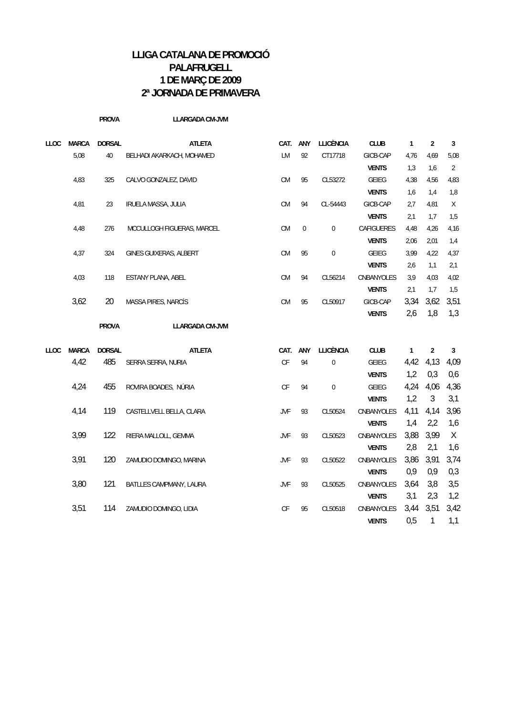|      |              | <b>PROVA</b>  | LLARGADA CM-JVM            |            |              |                  |              |              |                |      |
|------|--------------|---------------|----------------------------|------------|--------------|------------------|--------------|--------------|----------------|------|
| LLOC | <b>MARCA</b> | <b>DORSAL</b> | <b>ATLETA</b>              | CAT. ANY   |              | <b>LLICÈNCIA</b> | <b>CLUB</b>  | $\mathbf{1}$ | $\sqrt{2}$     | 3    |
|      | 5,08         | 40            | BELHADI AKARKACH, MOHAMED  | LM         | 92           | CT17718          | GICB-CAP     | 4,76         | 4,69           | 5,08 |
|      |              |               |                            |            |              |                  | <b>VENTS</b> | 1,3          | 1,6            | 2    |
|      | 4,83         | 325           | CALVO GONZALEZ, DAVID      | CM         | 95           | CL53272          | GEIEG        | 4,38         | 4,56           | 4,83 |
|      |              |               |                            |            |              |                  | <b>VENTS</b> | 1,6          | 1,4            | 1,8  |
|      | 4,81         | 23            | IRUELA MASSA, JULIA        | CM         | 94           | CL-54443         | GICB-CAP     | 2,7          | 4,81           | X    |
|      |              |               |                            |            |              |                  | <b>VENTS</b> | 2,1          | 1,7            | 1,5  |
|      | 4,48         | 276           | MCCULLOGH FIGUERAS, MARCEL | CM         | $\mathbf{0}$ | $\boldsymbol{0}$ | CAFIGUERES   | 4,48         | 4,26           | 4,16 |
|      |              |               |                            |            |              |                  | <b>VENTS</b> | 2,06         | 2,01           | 1,4  |
|      | 4,37         | 324           | GINES GUIXERAS, ALBERT     | <b>CM</b>  | 95           | $\boldsymbol{0}$ | GEIEG        | 3,99         | 4,22           | 4,37 |
|      |              |               |                            |            |              |                  | <b>VENTS</b> | 2,6          | 1,1            | 2,1  |
|      | 4,03         | 118           | ESTANY PLANA, ABEL         | ${\sf CM}$ | 94           | CL56214          | CNBANYOLES   | 3,9          | 4,03           | 4,02 |
|      |              |               |                            |            |              |                  | <b>VENTS</b> | 2,1          | 1,7            | 1,5  |
|      | 3,62         | 20            | MASSA PIRES, NARCÍS        | ${\sf CM}$ | 95           | CL50917          | GICB-CAP     | 3,34         | 3,62           | 3,51 |
|      |              |               |                            |            |              |                  | <b>VENTS</b> | 2,6          | 1,8            | 1,3  |
|      |              | <b>PROVA</b>  | <b>LLARGADA CM-JVM</b>     |            |              |                  |              |              |                |      |
| LLOC | <b>MARCA</b> | <b>DORSAL</b> | <b>ATLETA</b>              | CAT. ANY   |              | <b>LLICÈNCIA</b> | <b>CLUB</b>  | $\mathbf{1}$ | $\overline{2}$ | 3    |
|      | 4,42         | 485           | SERRA SERRA, NURIA         | CF         | 94           | $\pmb{0}$        | GEIEG        | 4,42         | 4,13           | 4,09 |
|      |              |               |                            |            |              |                  | <b>VENTS</b> | 1,2          | 0,3            | 0,6  |
|      | 4,24         | 455           | ROVIRA BOADES, NÚRIA       | CF         | 94           | $\boldsymbol{0}$ | GEIEG        | 4,24         | 4,06           | 4,36 |
|      |              |               |                            |            |              |                  | <b>VENTS</b> | 1,2          | 3              | 3,1  |
|      | 4,14         | 119           | CASTELLVELL BELLA, CLARA   | <b>JVF</b> | 93           | CL50524          | CNBANYOLES   | 4,11         | 4,14           | 3,96 |
|      |              |               |                            |            |              |                  | <b>VENTS</b> | 1,4          | 2,2            | 1,6  |
|      | 3,99         | 122           | RIERA MALLOLL, GEMMA       | <b>JVF</b> | 93           | CL50523          | CNBANYOLES   | 3,88         | 3,99           | X    |
|      |              |               |                            |            |              |                  | <b>VENTS</b> | 2,8          | 2,1            | 1,6  |
|      | 3,91         | 120           | ZAMUDIO DOMINGO, MARINA    | <b>JVF</b> | 93           | CL50522          | CNBANYOLES   | 3,86         | 3,91           | 3,74 |
|      |              |               |                            |            |              |                  | <b>VENTS</b> | 0,9          | 0,9            | 0,3  |
|      | 3,80         | 121           | BATLLES CAMPMANY, LAURA    | <b>JVF</b> | 93           | CL50525          | CNBANYOLES   | 3,64         | 3,8            | 3,5  |
|      |              |               |                            |            |              |                  | <b>VENTS</b> | 3,1          | 2,3            | 1,2  |
|      | 3,51         | 114           | ZAMUDIO DOMINGO, LIDIA     | CF         | 95           | CL50518          | CNBANYOLES   | 3,44         | 3,51           | 3,42 |
|      |              |               |                            |            |              |                  | <b>VENTS</b> | 0,5          | 1              | 1,1  |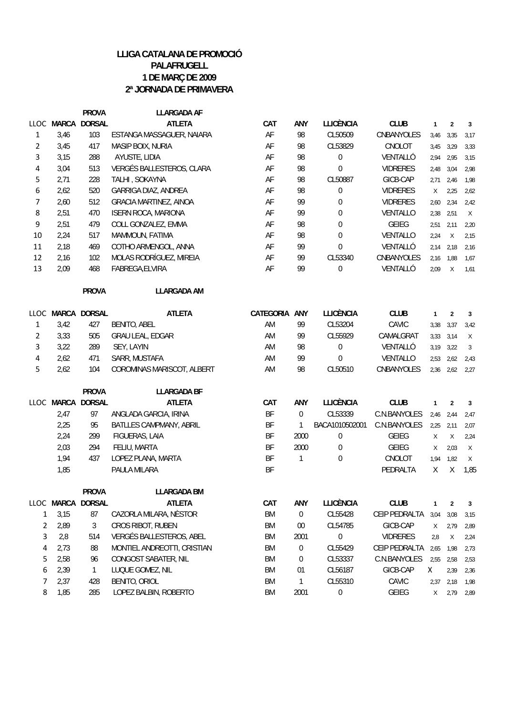|                |      | <b>PROVA</b>      | <b>LLARGADA AF</b>          |           |                  |                  |                 |              |                |                |
|----------------|------|-------------------|-----------------------------|-----------|------------------|------------------|-----------------|--------------|----------------|----------------|
|                |      | LLOC MARCA DORSAL | <b>ATLETA</b>               | CAT       | ANY              | <b>LLICÈNCIA</b> | <b>CLUB</b>     | $\mathbf{1}$ | $\overline{2}$ | 3              |
| 1              | 3,46 | 103               | ESTANGA MASSAGUER, NAIARA   | AF        | 98               | CL50509          | CNBANYOLES      | 3,46         | 3,35           | 3,17           |
| $\overline{2}$ | 3,45 | 417               | MASIP BOIX, NURIA           | AF        | 98               | CL53829          | CNOLOT          | 3,45         | 3,29           | 3,33           |
| 3              | 3,15 | 288               | AYUSTE, LIDIA               | AF        | 98               | 0                | VENTALLÓ        | 2,94         | 2,95           | 3,15           |
| 4              | 3,04 | 513               | VERGÉS BALLESTEROS, CLARA   | AF        | 98               | $\mathbf 0$      | <b>VIDRERES</b> | 2,48         | 3,04           | 2,98           |
| 5              | 2,71 | 228               | TALHI, SOKAYNA              | AF        | 98               | CL50887          | GICB-CAP        | 2,71         | 2,46           | 1,98           |
| 6              | 2,62 | 520               | GARRIGA DIAZ, ANDREA        | AF        | 98               | $\boldsymbol{0}$ | <b>VIDRERES</b> | $\times$     | 2,25           | 2,62           |
| 7              | 2,60 | 512               | GRACIA MARTINEZ, AINOA      | AF        | 99               | 0                | <b>VIDRERES</b> | 2,60         | 2,34           | 2,42           |
| 8              | 2,51 | 470               | <b>ISERN ROCA, MARIONA</b>  | AF        | 99               | 0                | VENTALLO        | 2,38         | 2,51           | X              |
| 9              | 2,51 | 479               | COLL GONZALEZ, EMMA         | AF        | 98               | 0                | <b>GEIEG</b>    | 2,51         | 2,11           | 2,20           |
| 10             | 2,24 | 517               | MAMMOUN, FATIMA             | AF        | 98               | $\boldsymbol{0}$ | VENTALLO        | 2,24         | $\chi$         | 2,15           |
| 11             | 2,18 | 469               | COTHO ARMENGOL, ANNA        | AF        | 99               | $\boldsymbol{0}$ | VENTALLÓ        | 2,14         | 2,18           | 2,16           |
| 12             | 2,16 | 102               | MOLAS RODRÍGUEZ, MIREIA     | AF        | 99               | CL53340          | CNBANYOLES      | 2,16         | 1,88           | 1,67           |
| 13             | 2,09 | 468               | FABREGA, ELVIRA             | AF        | 99               | 0                | VENTALLÓ        | 2,09         | $\chi$         | 1,61           |
|                |      | <b>PROVA</b>      | <b>LLARGADA AM</b>          |           |                  |                  |                 |              |                |                |
|                |      | LLOC MARCA DORSAL | <b>ATLETA</b>               | CATEGORIA | ANY              | <b>LLICÈNCIA</b> | <b>CLUB</b>     | $\mathbf{1}$ | $\overline{2}$ | 3              |
| 1              | 3,42 | 427               | <b>BENITO, ABEL</b>         | AM        | 99               | CL53204          | CAVIC           | 3,38         | 3,37           | 3,42           |
| $\overline{2}$ | 3,33 | 505               | GRAU LEAL, EDGAR            | AM        | 99               | CL55929          | CAMALGRAT       | 3,33         | 3,14           | $\chi$         |
| 3              | 3,22 | 289               | SEY, LAYIN                  | AM        | 98               | 0                | VENTALLÓ        | 3,19         | 3,22           | 3              |
| 4              | 2,62 | 471               | SARR, MUSTAFA               | AM        | 99               | $\boldsymbol{0}$ | VENTALLO        | 2,53         | 2,62           | 2,43           |
| 5              | 2,62 | 104               | COROMINAS MARISCOT, ALBERT  | AM        | 98               | CL50510          | CNBANYOLES      | 2,36         | 2,62           | 2,27           |
|                |      | <b>PROVA</b>      | <b>LLARGADA BF</b>          |           |                  |                  |                 |              |                |                |
|                |      | LLOC MARCA DORSAL | <b>ATLETA</b>               | CAT       | ANY              | <b>LLICÈNCIA</b> | <b>CLUB</b>     | $\mathbf{1}$ | $\overline{2}$ | $\overline{3}$ |
|                | 2,47 | 97                | ANGLADA GARCIA, IRINA       | BF        | 0                | CL53339          | C.N.BANYOLES    | 2,46         | 2,44           | 2,47           |
|                | 2,25 | 95                | BATLLES CAMPMANY, ABRIL     | <b>BF</b> | 1                | BACA1010502001   | C.N.BANYOLES    | 2,25         | 2,11           | 2,07           |
|                | 2,24 | 299               | FIGUERAS, LAIA              | <b>BF</b> | 2000             | 0                | <b>GEIEG</b>    | X            | X              | 2,24           |
|                | 2,03 | 294               | FELIU, MARTA                | <b>BF</b> | 2000             | 0                | <b>GEIEG</b>    | X            | 2,03           | $\chi$         |
|                | 1,94 | 437               | LOPEZ PLANA, MARTA          | <b>BF</b> | 1                | $\boldsymbol{0}$ | CNOLOT          | 1,94         | 1,82           | X              |
|                | 1,85 |                   | PAULA MILARA                | <b>BF</b> |                  |                  | PEDRALTA        | $\mathsf X$  | $\mathsf X$    | 1,85           |
|                |      |                   |                             |           |                  |                  |                 |              |                |                |
|                |      | <b>PROVA</b>      | <b>LLARGADA BM</b>          |           |                  |                  |                 |              |                |                |
|                |      | LLOC MARCA DORSAL | <b>ATLETA</b>               | CAT       | ANY              | <b>LLICÈNCIA</b> | <b>CLUB</b>     | $\mathbf{1}$ | $\overline{2}$ | 3              |
| $\mathbf{1}$   | 3,15 | 87                | CAZORLA MILARA, NÈSTOR      | <b>BM</b> | $\boldsymbol{0}$ | CL55428          | CEIP PEDRALTA   | 3,04         | 3,08           | 3,15           |
| $\overline{2}$ | 2,89 | 3                 | CROS RIBOT, RUBEN           | <b>BM</b> | 00               | CL54785          | GICB-CAP        | $\chi$       | 2,79           | 2,89           |
| 3              | 2,8  | 514               | VERGÉS BALLESTEROS, ABEL    | <b>BM</b> | 2001             | $\boldsymbol{0}$ | <b>VIDRERES</b> | 2,8          | X              | 2,24           |
| 4              | 2,73 | 88                | MONTIEL ANDREOTTI, CRISTIAN | <b>BM</b> | 0                | CL55429          | CEIP PEDRALTA   | 2,65         | 1,98           | 2,73           |
| 5              | 2,58 | 96                | CONGOST SABATER, NIL        | <b>BM</b> | 0                | CL53337          | C.N.BANYOLES    | 2,55         | 2,58           | 2,53           |
| 6              | 2,39 | $\mathbf{1}$      | LUQUE GOMEZ, NIL            | <b>BM</b> | 01               | CL56187          | GICB-CAP        | X            | 2,39           | 2,36           |
| 7              | 2,37 | 428               | BENITO, ORIOL               | <b>BM</b> | 1                | CL55310          | CAVIC           | 2,37         | 2,18           | 1,98           |
| 8              | 1,85 | 285               | LOPEZ BALBIN, ROBERTO       | BM        | 2001             | $\boldsymbol{0}$ | GEIEG           | X            | 2,79           | 2,89           |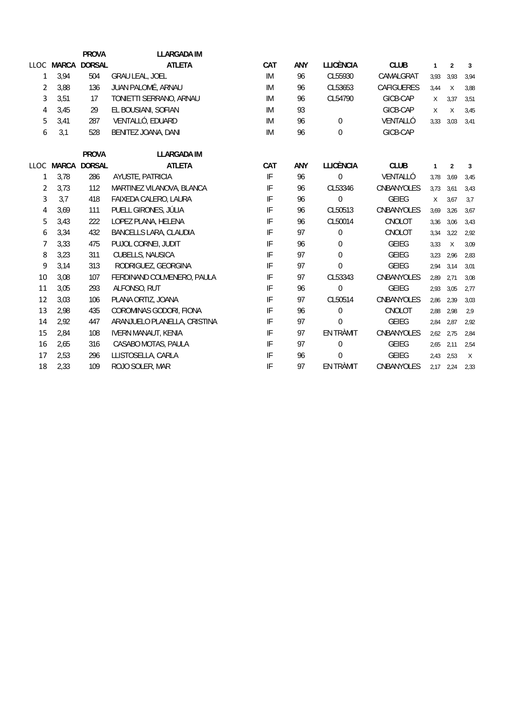|                |            | <b>PROVA</b>  | <b>LLARGADA IM</b>            |                            |            |                  |                   |              |                |                |
|----------------|------------|---------------|-------------------------------|----------------------------|------------|------------------|-------------------|--------------|----------------|----------------|
|                | LLOC MARCA | <b>DORSAL</b> | <b>ATLETA</b>                 | CAT                        | ANY        | <b>LLICÈNCIA</b> | <b>CLUB</b>       | $\mathbf{1}$ | $\overline{2}$ | 3              |
| 1              | 3,94       | 504           | <b>GRAU LEAL, JOEL</b>        | IM.                        | 96         | CL55930          | CAMALGRAT         | 3,93         | 3,93           | 3,94           |
| $\overline{2}$ | 3.88       | 136           | JUAN PALOMÉ, ARNAU            | IM                         | 96         | CL53653          | <b>CAFIGUERES</b> | 3,44         | $\mathsf{X}$   | 3,88           |
| 3              | 3,51       | 17            | TONIETTI SERRANO, ARNAU       | IM                         | 96         | CL54790          | GICB-CAP          | X            | 3,37           | 3,51           |
| 4              | 3,45       | 29            | EL BOUSIANI, SOFIAN           | IM                         | 93         |                  | GICB-CAP          | X            | $\times$       | 3,45           |
| 5              | 3,41       | 287           | VENTALLÓ, EDUARD              | IM                         | 96         | $\boldsymbol{0}$ | VENTALLÓ          | 3,33         | 3,03           | 3,41           |
| 6              | 3,1        | 528           | BENITEZ JOANA, DANI           | IM                         | 96         | 0                | GICB-CAP          |              |                |                |
|                |            | <b>PROVA</b>  | <b>LLARGADA IM</b>            |                            |            |                  |                   |              |                |                |
|                | LLOC MARCA | <b>DORSAL</b> | <b>ATLETA</b>                 | CAT                        | <b>ANY</b> | <b>LLICÈNCIA</b> | <b>CLUB</b>       | $\mathbf{1}$ | $\overline{2}$ | $\overline{3}$ |
| 1              | 3,78       | 286           | AYUSTE, PATRICIA              | $\ensuremath{\mathsf{IF}}$ | 96         | $\overline{0}$   | VENTALLÓ          | 3,78         | 3,69           | 3,45           |
| $\overline{2}$ | 3,73       | 112           | MARTINEZ VILANOVA, BLANCA     | IF                         | 96         | CL53346          | <b>CNBANYOLES</b> | 3,73         | 3,61           | 3,43           |
| 3              | 3,7        | 418           | FAIXEDA CALERO, LAURA         | IF                         | 96         | $\overline{0}$   | <b>GEIEG</b>      | X            | 3,67           | 3,7            |
| 4              | 3,69       | 111           | PUELL GIRONES, JÚLIA          | IF                         | 96         | CL50513          | CNBANYOLES        | 3,69         | 3,26           | 3,67           |
| 5              | 3,43       | 222           | LOPEZ PLANA, HELENA           | IF                         | 96         | CL50014          | CNOLOT            | 3,36         | 3,06           | 3,43           |
| 6              | 3,34       | 432           | <b>BANCELLS LARA, CLAUDIA</b> | IF                         | 97         | $\overline{0}$   | CNOLOT            | 3,34         | 3,22           | 2,92           |
| 7              | 3,33       | 475           | PUJOL CORNEI, JUDIT           | IF                         | 96         | 0                | <b>GEIEG</b>      | 3,33         | $\chi$         | 3,09           |
| 8              | 3,23       | 311           | CUBELLS, NAUSICA              | IF                         | 97         | $\boldsymbol{0}$ | <b>GEIEG</b>      | 3,23         | 2,96           | 2,83           |
| 9              | 3,14       | 313           | RODRIGUEZ, GEORGINA           | IF                         | 97         | $\theta$         | <b>GEIEG</b>      | 2,94         | 3,14           | 3,01           |
| 10             | 3,08       | 107           | FERDINAND COLMENERO, PAULA    | IF                         | 97         | CL53343          | CNBANYOLES        | 2,89         | 2,71           | 3,08           |
| 11             | 3,05       | 293           | ALFONSO, RUT                  | IF                         | 96         | $\mathbf 0$      | <b>GEIEG</b>      | 2,93         | 3,05           | 2,77           |
| 12             | 3,03       | 106           | PLANA ORTIZ, JOANA            | IF                         | 97         | CL50514          | <b>CNBANYOLES</b> | 2,86         | 2,39           | 3,03           |
| 13             | 2,98       | 435           | COROMINAS GODORI, FIONA       | IF                         | 96         | $\overline{0}$   | CNOLOT            | 2,88         | 2,98           | 2.9            |
| 14             | 2,92       | 447           | ARANJUELO PLANELLA, CRISTINA  | IF                         | 97         | $\overline{0}$   | <b>GEIEG</b>      | 2,84         | 2,87           | 2,92           |
| 15             | 2,84       | 108           | <b>IVERN MANAUT, KENIA</b>    | IF                         | 97         | EN TRÀMIT        | CNBANYOLES        | 2,62         | 2,75           | 2,84           |
| 16             | 2,65       | 316           | CASABO MOTAS, PAULA           | IF                         | 97         | $\boldsymbol{0}$ | <b>GEIEG</b>      | 2,65         | 2,11           | 2,54           |
| 17             | 2,53       | 296           | LLISTOSELLA, CARLA            | IF                         | 96         | $\theta$         | <b>GEIEG</b>      | 2,43         | 2,53           | $\chi$         |
| 18             | 2,33       | 109           | ROJO SOLER, MAR               | IF                         | 97         | EN TRÀMIT        | CNBANYOLES        | 2,17         | 2,24           | 2,33           |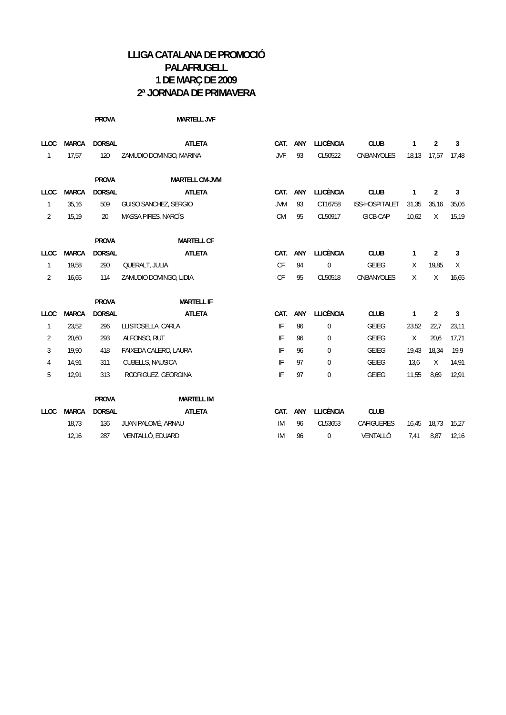|                |              | <b>PROVA</b>  | <b>MARTELL JVF</b>      |                        |     |                  |                   |              |                |       |
|----------------|--------------|---------------|-------------------------|------------------------|-----|------------------|-------------------|--------------|----------------|-------|
| <b>LLOC</b>    | <b>MARCA</b> | <b>DORSAL</b> | <b>ATLETA</b>           | CAT.                   | ANY | <b>LLICÈNCIA</b> | <b>CLUB</b>       | $\mathbf{1}$ | $\overline{2}$ | 3     |
| $\mathbf{1}$   | 17,57        | 120           | ZAMUDIO DOMINGO, MARINA | JVF                    | 93  | CL50522          | CNBANYOLES        | 18,13        | 17,57          | 17,48 |
|                |              | <b>PROVA</b>  | <b>MARTELL CM-JVM</b>   |                        |     |                  |                   |              |                |       |
| <b>LLOC</b>    | <b>MARCA</b> | <b>DORSAL</b> | <b>ATLETA</b>           | CAT.                   | ANY | <b>LLICÈNCIA</b> | <b>CLUB</b>       | $\mathbf{1}$ | $\overline{2}$ | 3     |
| $\mathbf{1}$   | 35,16        | 509           | GUISO SANCHEZ, SERGIO   | <b>JVM</b>             | 93  | CT16758          | ISS-HOSPITALET    | 31,35        | 35,16          | 35,06 |
| $\overline{2}$ | 15,19        | 20            | MASSA PIRES, NARCÍS     | <b>CM</b>              | 95  | CL50917          | GICB-CAP          | 10,62        | $\chi$         | 15,19 |
|                |              | <b>PROVA</b>  | <b>MARTELL CF</b>       |                        |     |                  |                   |              |                |       |
| <b>LLOC</b>    | <b>MARCA</b> | <b>DORSAL</b> | <b>ATLETA</b>           | CAT.                   | ANY | <b>LLICÈNCIA</b> | <b>CLUB</b>       | $\mathbf{1}$ | $\overline{2}$ | 3     |
| $\mathbf{1}$   | 19,58        | 290           | QUERALT, JULIA          | $\mathsf{C}\mathsf{F}$ | 94  | $\mathbf 0$      | <b>GEIEG</b>      | Χ            | 19,85          | X     |
| $\overline{2}$ | 16,65        | 114           | ZAMUDIO DOMINGO, LIDIA  | $\mathsf{C}\mathsf{F}$ | 95  | CL50518          | CNBANYOLES        | X            | X              | 16,65 |
|                |              | <b>PROVA</b>  | <b>MARTELL IF</b>       |                        |     |                  |                   |              |                |       |
| <b>LLOC</b>    | <b>MARCA</b> | <b>DORSAL</b> | <b>ATLETA</b>           | CAT.                   | ANY | <b>LLICÈNCIA</b> | <b>CLUB</b>       | $\mathbf{1}$ | $\overline{2}$ | 3     |
| $\mathbf{1}$   | 23,52        | 296           | LLISTOSELLA, CARLA      | IF                     | 96  | 0                | <b>GEIEG</b>      | 23,52        | 22,7           | 23,11 |
| 2              | 20,60        | 293           | ALFONSO, RUT            | IF                     | 96  | 0                | <b>GEIEG</b>      | $\chi$       | 20,6           | 17,71 |
| 3              | 19,90        | 418           | FAIXEDA CALERO, LAURA   | IF                     | 96  | $\mathbf 0$      | GEIEG             | 19,43        | 18,34          | 19,9  |
| 4              | 14,91        | 311           | CUBELLS, NAUSICA        | IF                     | 97  | $\mathbf 0$      | <b>GEIEG</b>      | 13,6         | $\chi$         | 14,91 |
| 5              | 12,91        | 313           | RODRIGUEZ, GEORGINA     | IF                     | 97  | $\pmb{0}$        | <b>GEIEG</b>      | 11,55        | 8,69           | 12,91 |
|                |              | <b>PROVA</b>  | <b>MARTELL IM</b>       |                        |     |                  |                   |              |                |       |
| <b>LLOC</b>    | <b>MARCA</b> | <b>DORSAL</b> | <b>ATLETA</b>           | CAT.                   | ANY | <b>LLICÈNCIA</b> | <b>CLUB</b>       |              |                |       |
|                | 18,73        | 136           | JUAN PALOMÉ, ARNAU      | IM                     | 96  | CL53653          | <b>CAFIGUERES</b> | 16,45        | 18,73          | 15,27 |
|                | 12,16        | 287           | VENTALLÓ, EDUARD        | IM                     | 96  | $\mathbf 0$      | VENTALLÓ          | 7,41         | 8,87           | 12,16 |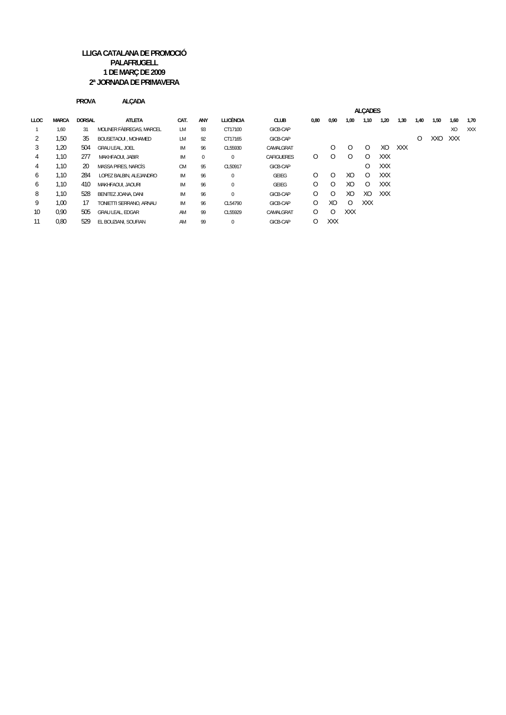|             |              | <b>PROVA</b>  | <b>ALCADA</b>            |           |     |                  |                   |         |                |                |                |            |            |         |      |                |      |
|-------------|--------------|---------------|--------------------------|-----------|-----|------------------|-------------------|---------|----------------|----------------|----------------|------------|------------|---------|------|----------------|------|
|             |              |               |                          |           |     |                  |                   |         |                |                | <b>ALCADES</b> |            |            |         |      |                |      |
| <b>LLOC</b> | <b>MARCA</b> | <b>DORSAL</b> | <b>ATLETA</b>            | CAT.      | ANY | <b>LLICÈNCIA</b> | <b>CLUB</b>       | 0,80    | 0,90           | 1,00           | 1,10           | 1,20       | 1,30       | 1,40    | 1,50 | 1,60           | 1,70 |
|             | 1.60         | 31            | MOLINER FABREGAS, MARCEL | <b>LM</b> | 93  | CT17100          | GICB-CAP          |         |                |                |                |            |            |         |      | X <sub>O</sub> | XXX  |
|             | 1,50         | 35            | BOUSETAOUI . MOHAMED     | <b>LM</b> | 92  | CT17165          | GICB-CAP          |         |                |                |                |            |            | $\circ$ | XXO  | <b>XXX</b>     |      |
| 3           | 1,20         | 504           | GRAU LEAL, JOEL          | <b>IM</b> | 96  | CL55930          | CAMALGRAT         |         | $\Omega$       | $\Omega$       | $\circ$        | XO         | <b>XXX</b> |         |      |                |      |
| 4           | 1.10         | 277           | MAKHFAOUI, JABIR         | <b>IM</b> | 0   | $\mathbf{0}$     | <b>CAFIGUERES</b> | $\circ$ | 0              | $\Omega$       | 0              | <b>XXX</b> |            |         |      |                |      |
| 4           | 1,10         | 20            | MASSA PIRES, NARCÍS      | <b>CM</b> | 95  | CL50917          | GICB-CAP          |         |                |                | $\circ$        | <b>XXX</b> |            |         |      |                |      |
| 6           | 1.10         | 284           | LOPEZ BALBIN, ALEJANDRO  | IM        | 96  | $\mathbf{0}$     | <b>GEIEG</b>      | $\circ$ | $\Omega$       | XO             | $\circ$        | <b>XXX</b> |            |         |      |                |      |
| 6           | 1,10         | 410           | MAKHFAOUI, JAOURI        | <b>IM</b> | 96  | $\mathbf{0}$     | <b>GEIEG</b>      | $\circ$ | 0              | XO             | $\circ$        | <b>XXX</b> |            |         |      |                |      |
| 8           | 1.10         | 528           | BENITEZ JOANA, DANI      | <b>IM</b> | 96  | 0                | GICB-CAP          | 0       | 0              | X <sub>O</sub> | X <sub>O</sub> | <b>XXX</b> |            |         |      |                |      |
| 9           | 1,00         | 17            | TONIETTI SERRANO. ARNAU  | <b>IM</b> | 96  | CL54790          | GICB-CAP          | 0       | X <sub>O</sub> | $\Omega$       | <b>XXX</b>     |            |            |         |      |                |      |
| 10          | 0.90         | 505           | <b>GRAU LEAL, EDGAR</b>  | AM        | 99  | CL55929          | CAMALGRAT         | 0       | 0              | XXX            |                |            |            |         |      |                |      |
| 11          | 0,80         | 529           | EL BOUZIANI, SOUFIAN     | AM        | 99  | $\mathbf{0}$     | GICB-CAP          | $\circ$ | XXX            |                |                |            |            |         |      |                |      |